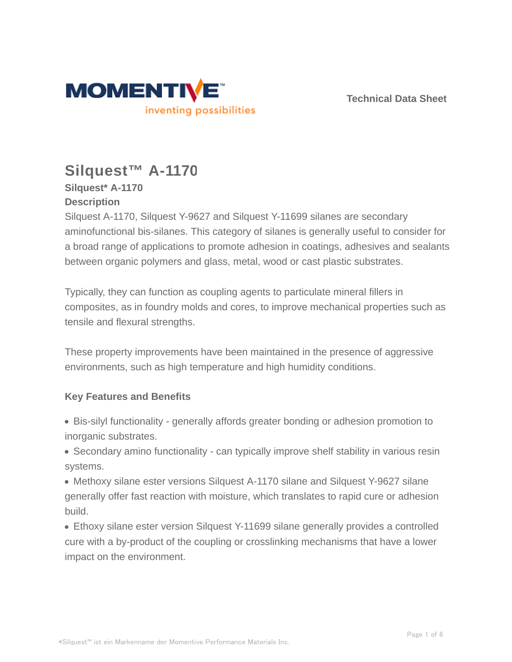

**Technical Data Sheet**

# **Silquest™ A-1170**

#### **Silquest\* A-1170 Description**

Silquest A-1170, Silquest Y-9627 and Silquest Y-11699 silanes are secondary aminofunctional bis-silanes. This category of silanes is generally useful to consider for a broad range of applications to promote adhesion in coatings, adhesives and sealants between organic polymers and glass, metal, wood or cast plastic substrates.

Typically, they can function as coupling agents to particulate mineral fillers in composites, as in foundry molds and cores, to improve mechanical properties such as tensile and flexural strengths.

These property improvements have been maintained in the presence of aggressive environments, such as high temperature and high humidity conditions.

## **Key Features and Benefits**

- Bis-silyl functionality generally affords greater bonding or adhesion promotion to inorganic substrates.
- Secondary amino functionality can typically improve shelf stability in various resin systems.
- Methoxy silane ester versions Silquest A-1170 silane and Silquest Y-9627 silane generally offer fast reaction with moisture, which translates to rapid cure or adhesion build.
- Ethoxy silane ester version Silquest Y-11699 silane generally provides a controlled cure with a by-product of the coupling or crosslinking mechanisms that have a lower impact on the environment.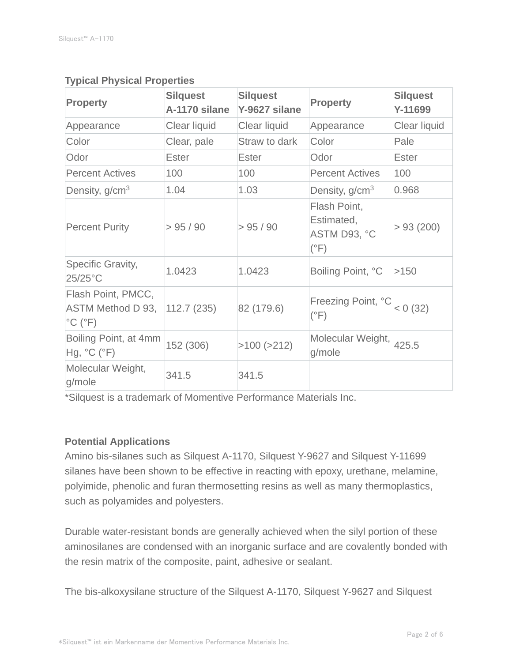| <b>Property</b>                                                         | <b>Silquest</b><br>A-1170 silane | <b>Silquest</b><br>Y-9627 silane | <b>Property</b>                                             | <b>Silquest</b><br>Y-11699 |
|-------------------------------------------------------------------------|----------------------------------|----------------------------------|-------------------------------------------------------------|----------------------------|
| Appearance                                                              | Clear liquid                     | Clear liquid                     | Appearance                                                  | Clear liquid               |
| Color                                                                   | Clear, pale                      | Straw to dark                    | Color                                                       | Pale                       |
| Odor                                                                    | <b>Ester</b>                     | <b>Ester</b>                     | Odor                                                        | <b>Ester</b>               |
| <b>Percent Actives</b>                                                  | 100                              | 100                              | <b>Percent Actives</b>                                      | 100                        |
| Density, $g/cm3$                                                        | 1.04                             | 1.03                             | Density, $g/cm3$                                            | 0.968                      |
| <b>Percent Purity</b>                                                   | > 95 / 90                        | > 95 / 90                        | Flash Point,<br>Estimated,<br>ASTM D93, °C<br>$(^{\circ}F)$ | > 93(200)                  |
| Specific Gravity,<br>25/25°C                                            | 1.0423                           | 1.0423                           | Boiling Point, °C                                           | >150                       |
| Flash Point, PMCC,<br>ASTM Method D 93,<br>$^{\circ}$ C ( $^{\circ}$ F) | 112.7(235)                       | 82 (179.6)                       | Freezing Point, °C<br>$(^{\circ}F)$                         | < 0 (32)                   |
| Boiling Point, at 4mm<br>Hg, $^{\circ}C$ ( $^{\circ}F$ )                | 152 (306)                        | $>100$ ( $>212$ )                | Molecular Weight, 425.5<br>g/mole                           |                            |
| Molecular Weight,<br>g/mole                                             | 341.5                            | 341.5                            |                                                             |                            |

# **Typical Physical Properties**

\*Silquest is a trademark of Momentive Performance Materials Inc.

#### **Potential Applications**

Amino bis-silanes such as Silquest A-1170, Silquest Y-9627 and Silquest Y-11699 silanes have been shown to be effective in reacting with epoxy, urethane, melamine, polyimide, phenolic and furan thermosetting resins as well as many thermoplastics, such as polyamides and polyesters.

Durable water-resistant bonds are generally achieved when the silyl portion of these aminosilanes are condensed with an inorganic surface and are covalently bonded with the resin matrix of the composite, paint, adhesive or sealant.

The bis-alkoxysilane structure of the Silquest A-1170, Silquest Y-9627 and Silquest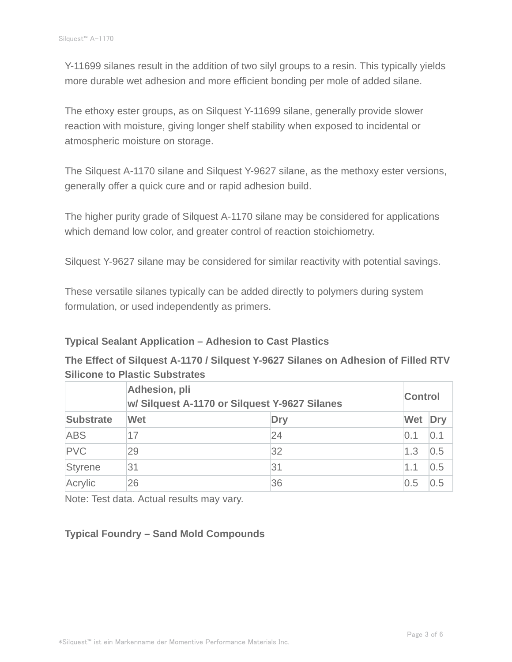Y-11699 silanes result in the addition of two silyl groups to a resin. This typically yields more durable wet adhesion and more efficient bonding per mole of added silane.

The ethoxy ester groups, as on Silquest Y-11699 silane, generally provide slower reaction with moisture, giving longer shelf stability when exposed to incidental or atmospheric moisture on storage.

The Silquest A-1170 silane and Silquest Y-9627 silane, as the methoxy ester versions, generally offer a quick cure and or rapid adhesion build.

The higher purity grade of Silquest A-1170 silane may be considered for applications which demand low color, and greater control of reaction stoichiometry.

Silquest Y-9627 silane may be considered for similar reactivity with potential savings.

These versatile silanes typically can be added directly to polymers during system formulation, or used independently as primers.

## **Typical Sealant Application – Adhesion to Cast Plastics**

**The Effect of Silquest A-1170 / Silquest Y-9627 Silanes on Adhesion of Filled RTV Silicone to Plastic Substrates**

|                  | Adhesion, pli<br>w/ Silquest A-1170 or Silquest Y-9627 Silanes |     | <b>Control</b> |     |
|------------------|----------------------------------------------------------------|-----|----------------|-----|
| <b>Substrate</b> | <b>Wet</b>                                                     | Dry | <b>Wet</b>     | Dry |
| <b>ABS</b>       | 17                                                             | 24  | 0.1            | 0.1 |
| <b>PVC</b>       | 29                                                             | 32  | 1.3            | 0.5 |
| Styrene          | 31                                                             | 31  | 1.1            | 0.5 |
| Acrylic          | 26                                                             | 36  | 0.5            | 0.5 |

Note: Test data. Actual results may vary.

## **Typical Foundry – Sand Mold Compounds**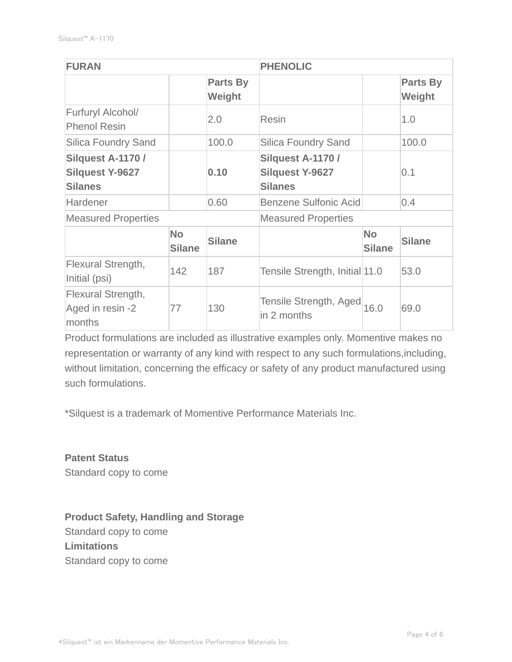| <b>FURAN</b>                                                  |                            |                            | <b>PHENOLIC</b>                                                      |                            |                    |
|---------------------------------------------------------------|----------------------------|----------------------------|----------------------------------------------------------------------|----------------------------|--------------------|
|                                                               |                            | <b>Parts By</b><br>Weight  |                                                                      |                            | Parts By<br>Weight |
| Furfuryl Alcohol/<br><b>Phenol Resin</b>                      |                            | 2.0                        | <b>Resin</b>                                                         |                            | 1.0                |
| <b>Silica Foundry Sand</b>                                    |                            | 100.0                      | <b>Silica Foundry Sand</b>                                           |                            | 100.0              |
| Silquest A-1170 /<br><b>Silquest Y-9627</b><br><b>Silanes</b> |                            | 0.10                       | <b>Silquest A-1170 /</b><br><b>Silquest Y-9627</b><br><b>Silanes</b> |                            | 0.1                |
| Hardener                                                      |                            | 0.60                       | <b>Benzene Sulfonic Acid</b>                                         |                            | 0.4                |
| <b>Measured Properties</b>                                    |                            | <b>Measured Properties</b> |                                                                      |                            |                    |
|                                                               | <b>No</b><br><b>Silane</b> | <b>Silane</b>              |                                                                      | <b>No</b><br><b>Silane</b> | <b>Silane</b>      |
| Flexural Strength,<br>Initial (psi)                           | 142                        | 187                        | Tensile Strength, Initial 11.0                                       |                            | 53.0               |
| Flexural Strength,<br>Aged in resin -2<br>months              | 77                         | 130                        | Tensile Strength, Aged 16.0<br>in 2 months                           |                            | 69.0               |

Product formulations are included as illustrative examples only. Momentive makes no representation or warranty of any kind with respect to any such formulations,including, without limitation, concerning the efficacy or safety of any product manufactured using such formulations.

\*Silquest is a trademark of Momentive Performance Materials Inc.

**Patent Status** Standard copy to come

**Product Safety, Handling and Storage** Standard copy to come **Limitations** Standard copy to come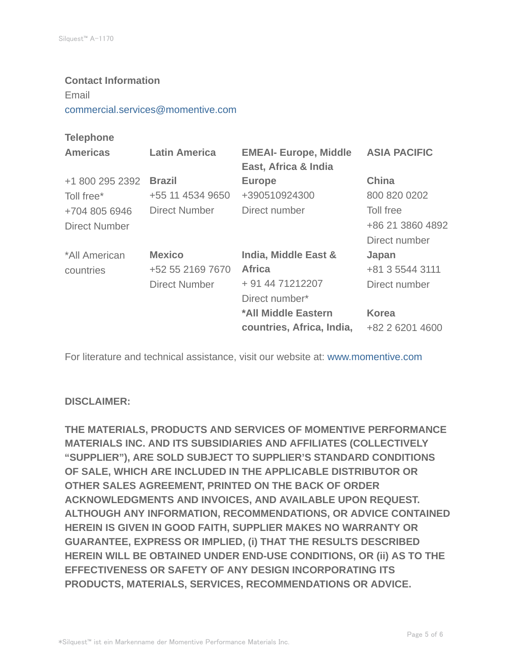# **Contact Information** Email commercial.services@momentive.com

#### **Telephone**

| <b>Americas</b>      | <b>Latin America</b> | <b>EMEAI- Europe, Middle</b><br>East, Africa & India | <b>ASIA PACIFIC</b> |
|----------------------|----------------------|------------------------------------------------------|---------------------|
| +1 800 295 2392      | <b>Brazil</b>        | <b>Europe</b>                                        | <b>China</b>        |
| Toll free*           | +55 11 4534 9650     | +390510924300                                        | 800 820 0202        |
| +704 805 6946        | Direct Number        | Direct number                                        | Toll free           |
| <b>Direct Number</b> |                      |                                                      | +86 21 3860 4892    |
|                      |                      |                                                      | Direct number       |
| *All American        | <b>Mexico</b>        | India, Middle East &                                 | Japan               |
| countries            | +52 55 2169 7670     | <b>Africa</b>                                        | +81 3 5544 3111     |
|                      | <b>Direct Number</b> | + 91 44 71212207                                     | Direct number       |
|                      |                      | Direct number*                                       |                     |
|                      |                      | *All Middle Eastern                                  | <b>Korea</b>        |
|                      |                      | countries, Africa, India,                            | +82 2 6201 4600     |

For literature and technical assistance, visit our website at: www.momentive.com

#### **DISCLAIMER:**

**THE MATERIALS, PRODUCTS AND SERVICES OF MOMENTIVE PERFORMANCE MATERIALS INC. AND ITS SUBSIDIARIES AND AFFILIATES (COLLECTIVELY "SUPPLIER"), ARE SOLD SUBJECT TO SUPPLIER'S STANDARD CONDITIONS OF SALE, WHICH ARE INCLUDED IN THE APPLICABLE DISTRIBUTOR OR OTHER SALES AGREEMENT, PRINTED ON THE BACK OF ORDER ACKNOWLEDGMENTS AND INVOICES, AND AVAILABLE UPON REQUEST. ALTHOUGH ANY INFORMATION, RECOMMENDATIONS, OR ADVICE CONTAINED HEREIN IS GIVEN IN GOOD FAITH, SUPPLIER MAKES NO WARRANTY OR GUARANTEE, EXPRESS OR IMPLIED, (i) THAT THE RESULTS DESCRIBED HEREIN WILL BE OBTAINED UNDER END-USE CONDITIONS, OR (ii) AS TO THE EFFECTIVENESS OR SAFETY OF ANY DESIGN INCORPORATING ITS PRODUCTS, MATERIALS, SERVICES, RECOMMENDATIONS OR ADVICE.**